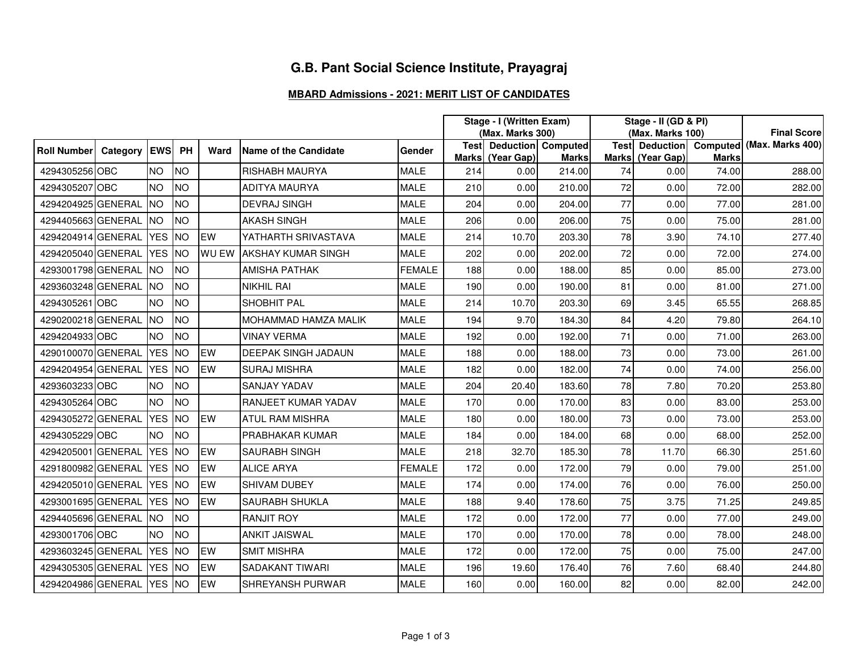## **G.B. Pant Social Science Institute, Prayagraj**

## **MBARD Admissions - 2021: MERIT LIST OF CANDIDATES**

|                    |              |            |           |              |                            |               | Stage - I (Written Exam) |                                              |              | Stage - II (GD & PI) |                  |              |                                          |
|--------------------|--------------|------------|-----------|--------------|----------------------------|---------------|--------------------------|----------------------------------------------|--------------|----------------------|------------------|--------------|------------------------------------------|
|                    |              |            |           |              |                            |               | (Max. Marks 300)         |                                              |              | (Max. Marks 100)     |                  |              | <b>Final Score</b>                       |
| <b>Roll Number</b> | Category EWS |            | PH        | Ward         | Name of the Candidate      | Gender        |                          | <b>Test Deduction Computed</b><br>(Year Gap) | <b>Marks</b> |                      | Marks (Year Gap) | <b>Marks</b> | Test Deduction Computed (Max. Marks 400) |
| 4294305256 OBC     |              | <b>NO</b>  | <b>NO</b> |              | <b>RISHABH MAURYA</b>      | <b>MALE</b>   | <b>Marks</b><br>214      | 0.00                                         | 214.00       | 74                   | 0.00             | 74.00        | 288.00                                   |
| 4294305207 OBC     |              | <b>NO</b>  | <b>NO</b> |              | <b>ADITYA MAURYA</b>       | <b>MALE</b>   | 210                      | 0.00                                         | 210.00       | 72                   | 0.00             | 72.00        | 282.00                                   |
| 4294204925 GENERAL |              | <b>NO</b>  | <b>NO</b> |              | <b>DEVRAJ SINGH</b>        | <b>MALE</b>   | 204                      | 0.00                                         | 204.00       | 77                   | 0.00             | 77.00        | 281.00                                   |
| 4294405663 GENERAL |              | <b>NO</b>  | <b>NO</b> |              | <b>AKASH SINGH</b>         | <b>MALE</b>   | 206                      | 0.00                                         | 206.00       | 75                   | 0.00             | 75.00        | 281.00                                   |
| 4294204914 GENERAL |              | <b>YES</b> | <b>NO</b> | EW           | YATHARTH SRIVASTAVA        | <b>MALE</b>   | 214                      | 10.70                                        | 203.30       | 78                   | 3.90             | 74.10        | 277.40                                   |
| 4294205040 GENERAL |              | <b>YES</b> | <b>NO</b> | <b>WU EW</b> | <b>AKSHAY KUMAR SINGH</b>  | <b>MALE</b>   | 202                      | 0.00                                         | 202.00       | 72                   | 0.00             | 72.00        | 274.00                                   |
| 4293001798 GENERAL |              | <b>NO</b>  | <b>NO</b> |              | <b>AMISHA PATHAK</b>       | <b>FEMALE</b> | 188                      | 0.00                                         | 188.00       | 85                   | 0.00             | 85.00        | 273.00                                   |
| 4293603248 GENERAL |              | <b>NO</b>  | <b>NO</b> |              | <b>NIKHIL RAI</b>          | <b>MALE</b>   | 190                      | 0.00                                         | 190.00       | 81                   | 0.00             | 81.00        | 271.00                                   |
| 4294305261 OBC     |              | <b>NO</b>  | <b>NO</b> |              | SHOBHIT PAL                | <b>MALE</b>   | 214                      | 10.70                                        | 203.30       | 69                   | 3.45             | 65.55        | 268.85                                   |
| 4290200218 GENERAL |              | <b>NO</b>  | <b>NO</b> |              | MOHAMMAD HAMZA MALIK       | <b>MALE</b>   | 194                      | 9.70                                         | 184.30       | 84                   | 4.20             | 79.80        | 264.10                                   |
| 4294204933 OBC     |              | <b>NO</b>  | <b>NO</b> |              | <b>VINAY VERMA</b>         | <b>MALE</b>   | 192                      | 0.00                                         | 192.00       | 71                   | 0.00             | 71.00        | 263.00                                   |
| 4290100070 GENERAL |              | <b>YES</b> | <b>NO</b> | EW           | <b>DEEPAK SINGH JADAUN</b> | <b>MALE</b>   | 188                      | 0.00                                         | 188.00       | 73                   | 0.00             | 73.00        | 261.00                                   |
| 4294204954 GENERAL |              | YES NO     |           | EW           | <b>SURAJ MISHRA</b>        | <b>MALE</b>   | 182                      | 0.00                                         | 182.00       | 74                   | 0.00             | 74.00        | 256.00                                   |
| 4293603233 OBC     |              | <b>NO</b>  | <b>NO</b> |              | <b>SANJAY YADAV</b>        | <b>MALE</b>   | 204                      | 20.40                                        | 183.60       | 78                   | 7.80             | 70.20        | 253.80                                   |
| 4294305264 OBC     |              | <b>NO</b>  | <b>NO</b> |              | RANJEET KUMAR YADAV        | <b>MALE</b>   | 170                      | 0.00                                         | 170.00       | 83                   | 0.00             | 83.00        | 253.00                                   |
| 4294305272 GENERAL |              | <b>YES</b> | <b>NO</b> | EW           | ATUL RAM MISHRA            | <b>MALE</b>   | 180                      | 0.00                                         | 180.00       | 73                   | 0.00             | 73.00        | 253.00                                   |
| 4294305229 OBC     |              | <b>NO</b>  | <b>NO</b> |              | PRABHAKAR KUMAR            | <b>MALE</b>   | 184                      | 0.00                                         | 184.00       | 68                   | 0.00             | 68.00        | 252.00                                   |
| 4294205001 GENERAL |              | <b>YES</b> | <b>NO</b> | EW           | <b>SAURABH SINGH</b>       | <b>MALE</b>   | 218                      | 32.70                                        | 185.30       | 78                   | 11.70            | 66.30        | 251.60                                   |
| 4291800982 GENERAL |              | YES NO     |           | <b>EW</b>    | <b>ALICE ARYA</b>          | <b>FEMALE</b> | 172                      | 0.00                                         | 172.00       | 79                   | 0.00             | 79.00        | 251.00                                   |
| 4294205010 GENERAL |              | YES NO     |           | EW           | SHIVAM DUBEY               | <b>MALE</b>   | 174                      | 0.00                                         | 174.00       | 76                   | 0.00             | 76.00        | 250.00                                   |
| 4293001695 GENERAL |              | YES NO     |           | <b>EW</b>    | SAURABH SHUKLA             | <b>MALE</b>   | 188                      | 9.40                                         | 178.60       | 75                   | 3.75             | 71.25        | 249.85                                   |
| 4294405696 GENERAL |              | <b>NO</b>  | <b>NO</b> |              | <b>RANJIT ROY</b>          | <b>MALE</b>   | 172                      | 0.00                                         | 172.00       | 77                   | 0.00             | 77.00        | 249.00                                   |
| 4293001706 OBC     |              | <b>NO</b>  | <b>NO</b> |              | <b>ANKIT JAISWAL</b>       | <b>MALE</b>   | 170                      | 0.00                                         | 170.00       | 78                   | 0.00             | 78.00        | 248.00                                   |
| 4293603245 GENERAL |              | YES NO     |           | EW           | <b>SMIT MISHRA</b>         | <b>MALE</b>   | 172                      | 0.00                                         | 172.00       | 75                   | 0.00             | 75.00        | 247.00                                   |
| 4294305305 GENERAL |              | <b>YES</b> | <b>NO</b> | EW           | <b>SADAKANT TIWARI</b>     | <b>MALE</b>   | 196                      | 19.60                                        | 176.40       | 76                   | 7.60             | 68.40        | 244.80                                   |
| 4294204986 GENERAL |              | YES NO     |           | EW           | SHREYANSH PURWAR           | <b>MALE</b>   | 160                      | 0.00                                         | 160.00       | 82                   | 0.00             | 82.00        | 242.00                                   |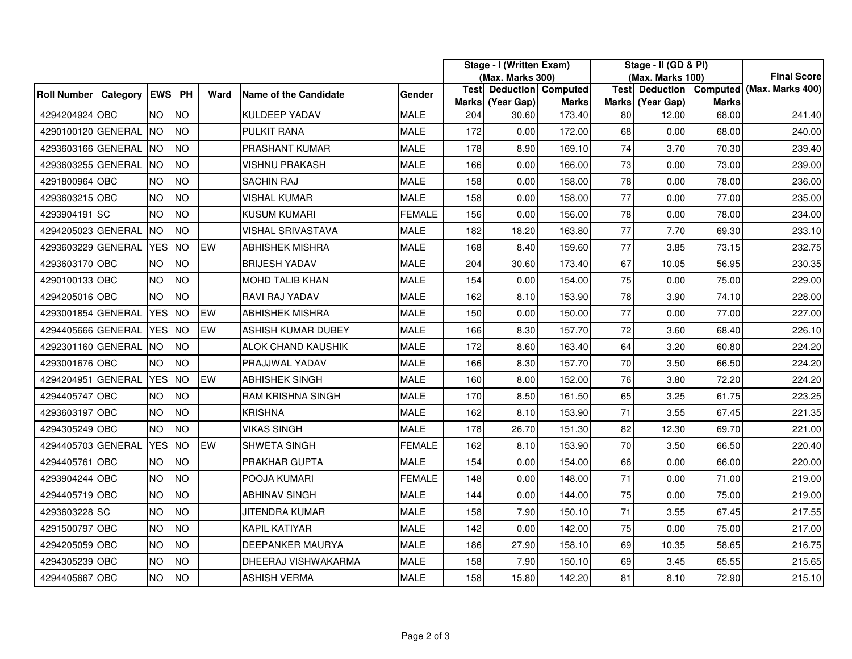|                    |              |            |           |      |                              |               | Stage - I (Written Exam)<br>(Max. Marks 300) |                                              |        | Stage - II (GD & PI)<br>(Max. Marks 100) |                  |              | <b>Final Score</b>                       |
|--------------------|--------------|------------|-----------|------|------------------------------|---------------|----------------------------------------------|----------------------------------------------|--------|------------------------------------------|------------------|--------------|------------------------------------------|
| <b>Roll Number</b> | Category EWS |            | PH        | Ward | <b>Name of the Candidate</b> | Gender        | <b>Marks</b>                                 | <b>Test Deduction Computed</b><br>(Year Gap) | Marks  |                                          | Marks (Year Gap) | <b>Marks</b> | Test Deduction Computed (Max. Marks 400) |
| 4294204924 OBC     |              | <b>NO</b>  | <b>NO</b> |      | KULDEEP YADAV                | <b>MALE</b>   | 204                                          | 30.60                                        | 173.40 | 80                                       | 12.00            | 68.00        | 241.40                                   |
| 4290100120 GENERAL |              | <b>INO</b> | <b>NO</b> |      | PULKIT RANA                  | <b>MALE</b>   | 172                                          | 0.00                                         | 172.00 | 68                                       | 0.00             | 68.00        | 240.00                                   |
| 4293603166 GENERAL |              | <b>INO</b> | <b>NO</b> |      | <b>PRASHANT KUMAR</b>        | <b>MALE</b>   | 178                                          | 8.90                                         | 169.10 | 74                                       | 3.70             | 70.30        | 239.40                                   |
| 4293603255 GENERAL |              | <b>NO</b>  | <b>NO</b> |      | <b>VISHNU PRAKASH</b>        | <b>MALE</b>   | 166                                          | 0.00                                         | 166.00 | 73                                       | 0.00             | 73.00        | 239.00                                   |
| 4291800964 OBC     |              | <b>NO</b>  | <b>NO</b> |      | <b>SACHIN RAJ</b>            | <b>MALE</b>   | 158                                          | 0.00                                         | 158.00 | 78                                       | 0.00             | 78.00        | 236.00                                   |
| 4293603215 OBC     |              | <b>NO</b>  | <b>NO</b> |      | VISHAL KUMAR                 | <b>MALE</b>   | 158                                          | 0.00                                         | 158.00 | 77                                       | 0.00             | 77.00        | 235.00                                   |
| 4293904191 SC      |              | <b>NO</b>  | <b>NO</b> |      | <b>KUSUM KUMARI</b>          | <b>FEMALE</b> | 156                                          | 0.00                                         | 156.00 | 78                                       | 0.00             | 78.00        | 234.00                                   |
| 4294205023 GENERAL |              | <b>NO</b>  | <b>NO</b> |      | VISHAL SRIVASTAVA            | <b>MALE</b>   | 182                                          | 18.20                                        | 163.80 | 77                                       | 7.70             | 69.30        | 233.10                                   |
| 4293603229 GENERAL |              | <b>YES</b> | <b>NO</b> | EW   | <b>ABHISHEK MISHRA</b>       | <b>MALE</b>   | 168                                          | 8.40                                         | 159.60 | 77                                       | 3.85             | 73.15        | 232.75                                   |
| 4293603170 OBC     |              | <b>NO</b>  | <b>NO</b> |      | <b>BRIJESH YADAV</b>         | <b>MALE</b>   | 204                                          | 30.60                                        | 173.40 | 67                                       | 10.05            | 56.95        | 230.35                                   |
| 4290100133 OBC     |              | <b>NO</b>  | <b>NO</b> |      | MOHD TALIB KHAN              | <b>MALE</b>   | 154                                          | 0.00                                         | 154.00 | 75                                       | 0.00             | 75.00        | 229.00                                   |
| 4294205016 OBC     |              | <b>NO</b>  | <b>NO</b> |      | <b>RAVI RAJ YADAV</b>        | <b>MALE</b>   | 162                                          | 8.10                                         | 153.90 | 78                                       | 3.90             | 74.10        | 228.00                                   |
| 4293001854 GENERAL |              | <b>YES</b> | <b>NO</b> | EW   | <b>ABHISHEK MISHRA</b>       | <b>MALE</b>   | 150                                          | 0.00                                         | 150.00 | 77                                       | 0.00             | 77.00        | 227.00                                   |
| 4294405666 GENERAL |              | <b>YES</b> | <b>NO</b> | EW   | <b>ASHISH KUMAR DUBEY</b>    | <b>MALE</b>   | 166                                          | 8.30                                         | 157.70 | 72                                       | 3.60             | 68.40        | 226.10                                   |
| 4292301160 GENERAL |              | <b>NO</b>  | <b>NO</b> |      | <b>ALOK CHAND KAUSHIK</b>    | <b>MALE</b>   | 172                                          | 8.60                                         | 163.40 | 64                                       | 3.20             | 60.80        | 224.20                                   |
| 4293001676 OBC     |              | <b>NO</b>  | <b>NO</b> |      | PRAJJWAL YADAV               | <b>MALE</b>   | 166                                          | 8.30                                         | 157.70 | 70                                       | 3.50             | 66.50        | 224.20                                   |
| 4294204951 GENERAL |              | <b>YES</b> | <b>NO</b> | EW   | <b>ABHISHEK SINGH</b>        | <b>MALE</b>   | 160                                          | 8.00                                         | 152.00 | 76                                       | 3.80             | 72.20        | 224.20                                   |
| 4294405747 OBC     |              | <b>NO</b>  | <b>NO</b> |      | <b>RAM KRISHNA SINGH</b>     | <b>MALE</b>   | 170                                          | 8.50                                         | 161.50 | 65                                       | 3.25             | 61.75        | 223.25                                   |
| 4293603197 OBC     |              | <b>NO</b>  | <b>NO</b> |      | <b>KRISHNA</b>               | <b>MALE</b>   | 162                                          | 8.10                                         | 153.90 | 71                                       | 3.55             | 67.45        | 221.35                                   |
| 4294305249 OBC     |              | <b>NO</b>  | <b>NO</b> |      | VIKAS SINGH                  | <b>MALE</b>   | 178                                          | 26.70                                        | 151.30 | 82                                       | 12.30            | 69.70        | 221.00                                   |
| 4294405703 GENERAL |              | <b>YES</b> | <b>NO</b> | EW   | <b>SHWETA SINGH</b>          | <b>FEMALE</b> | 162                                          | 8.10                                         | 153.90 | 70                                       | 3.50             | 66.50        | 220.40                                   |
| 4294405761 OBC     |              | <b>NO</b>  | <b>NO</b> |      | PRAKHAR GUPTA                | <b>MALE</b>   | 154                                          | 0.00                                         | 154.00 | 66                                       | 0.00             | 66.00        | 220.00                                   |
| 4293904244 OBC     |              | <b>NO</b>  | <b>NO</b> |      | POOJA KUMARI                 | FEMALE        | 148                                          | 0.00                                         | 148.00 | 71                                       | 0.00             | 71.00        | 219.00                                   |
| 4294405719 OBC     |              | <b>NO</b>  | <b>NO</b> |      | <b>ABHINAV SINGH</b>         | <b>MALE</b>   | 144                                          | 0.00                                         | 144.00 | 75                                       | 0.00             | 75.00        | 219.00                                   |
| 4293603228 SC      |              | <b>NO</b>  | <b>NO</b> |      | JITENDRA KUMAR               | <b>MALE</b>   | 158                                          | 7.90                                         | 150.10 | 71                                       | 3.55             | 67.45        | 217.55                                   |
| 4291500797 OBC     |              | <b>NO</b>  | <b>NO</b> |      | KAPIL KATIYAR                | <b>MALE</b>   | 142                                          | 0.00                                         | 142.00 | 75                                       | 0.00             | 75.00        | 217.00                                   |
| 4294205059 OBC     |              | <b>NO</b>  | <b>NO</b> |      | <b>DEEPANKER MAURYA</b>      | <b>MALE</b>   | 186                                          | 27.90                                        | 158.10 | 69                                       | 10.35            | 58.65        | 216.75                                   |
| 4294305239 OBC     |              | <b>NO</b>  | <b>NO</b> |      | DHEERAJ VISHWAKARMA          | <b>MALE</b>   | 158                                          | 7.90                                         | 150.10 | 69                                       | 3.45             | 65.55        | 215.65                                   |
| 4294405667 OBC     |              | <b>NO</b>  | <b>NO</b> |      | ASHISH VERMA                 | <b>MALE</b>   | 158                                          | 15.80                                        | 142.20 | 81                                       | 8.10             | 72.90        | 215.10                                   |